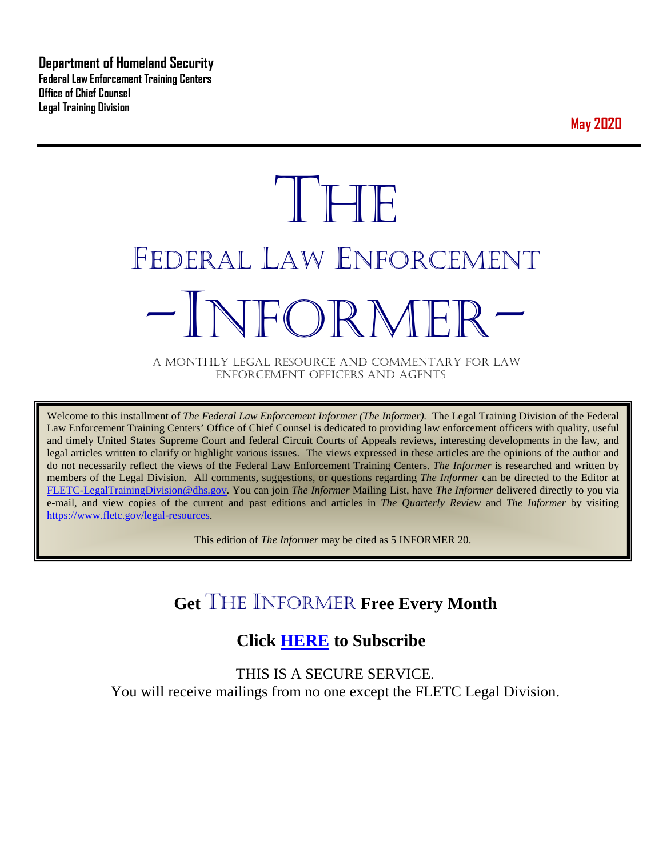**Department of Homeland Security Federal Law Enforcement Training Centers Office of Chief Counsel Legal Training Division** 

**May 2020**

# **THE** FEDERAL LAW ENFORCEMENT -INFORMER- A MONTHLY LEGAL RESOURCE AND COMMENTARY FOR LAW

ENFORCEMENT OFFICERS AND AGENTS

Welcome to this installment of *The Federal Law Enforcement Informer (The Informer).* The Legal Training Division of the Federal Law Enforcement Training Centers' Office of Chief Counsel is dedicated to providing law enforcement officers with quality, useful and timely United States Supreme Court and federal Circuit Courts of Appeals reviews, interesting developments in the law, and legal articles written to clarify or highlight various issues. The views expressed in these articles are the opinions of the author and do not necessarily reflect the views of the Federal Law Enforcement Training Centers. *The Informer* is researched and written by members of the Legal Division. All comments, suggestions, or questions regarding *The Informer* can be directed to the Editor at [FLETC-LegalTrainingDivision@dhs.gov.](mailto:FLETC-LegalTrainingDivision@dhs.gov) You can join *The Informer* Mailing List, have *The Informer* delivered directly to you via e-mail, and view copies of the current and past editions and articles in *The Quarterly Review* and *The Informer* by visiting [https://www.fletc.gov/legal-resources.](https://www.fletc.gov/legal-resources)

This edition of *The Informer* may be cited as 5 INFORMER 20.

# **Get** THE INFORMER **Free Every Month**

# **Click [HERE](https://app.co-sender.com/opt-in/list/7b007eab-378b-4542-807f-44d6de94cb7e) to Subscribe**

THIS IS A SECURE SERVICE. You will receive mailings from no one except the FLETC Legal Division.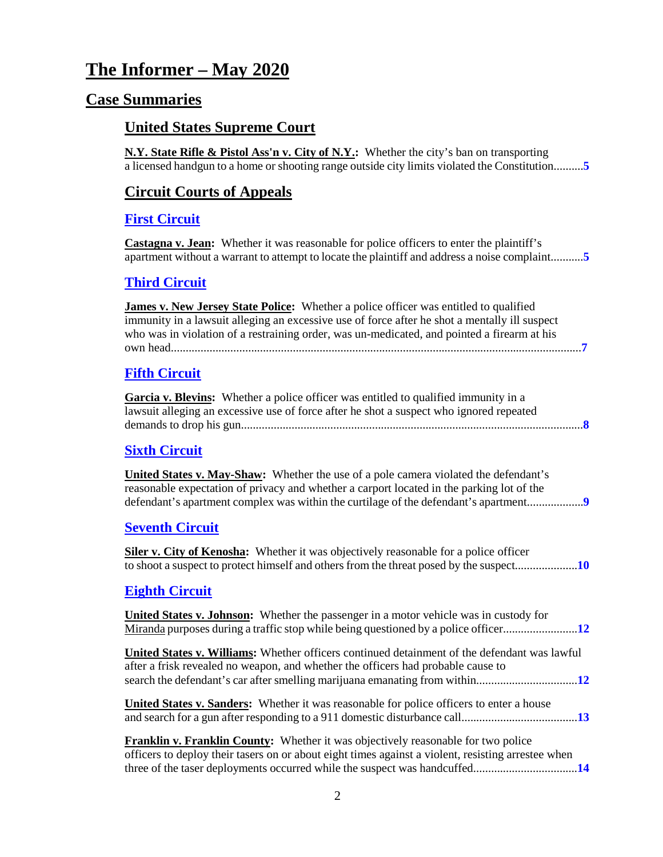# **The Informer – May 2020**

# **Case Summaries**

# **United States Supreme Court**

**N.Y. State Rifle & Pistol Ass'n v. City of N.Y.:** Whether the city's ban on transporting a licensed handgun to a home or shooting range outside city limits violated the Constitution..........**[5](#page-4-0)**

# **[Circuit Courts of Appeals](#page-4-1)**

### **[First Circuit](#page-4-2)**

**Castagna v. Jean:** Whether it was reasonable for police officers to enter the plaintiff's apartment without a warrant to attempt to locate the plaintiff and address a noise complaint...........**[5](#page-4-3)**

#### **[Third Circuit](#page-6-0)**

| James v. New Jersey State Police: Whether a police officer was entitled to qualified<br>immunity in a lawsuit alleging an excessive use of force after he shot a mentally ill suspect<br>who was in violation of a restraining order, was un-medicated, and pointed a firearm at his |
|--------------------------------------------------------------------------------------------------------------------------------------------------------------------------------------------------------------------------------------------------------------------------------------|
| <b>Fifth Circuit</b>                                                                                                                                                                                                                                                                 |
| <b>Garcia v. Blevins:</b> Whether a police officer was entitled to qualified immunity in a<br>lawsuit alleging an excessive use of force after he shot a suspect who ignored repeated                                                                                                |
| <b>Sixth Circuit</b>                                                                                                                                                                                                                                                                 |
| <b>United States v. May-Shaw:</b> Whether the use of a pole camera violated the defendant's<br>reasonable expectation of privacy and whether a carport located in the parking lot of the<br>defendant's apartment complex was within the curtilage of the defendant's apartment      |
| <b>Seventh Circuit</b>                                                                                                                                                                                                                                                               |
| <b>Siler v. City of Kenosha:</b> Whether it was objectively reasonable for a police officer                                                                                                                                                                                          |
| <b>Eighth Circuit</b>                                                                                                                                                                                                                                                                |

# **[Eighth Circuit](#page-11-0)**

| <b>United States v. Johnson:</b> Whether the passenger in a motor vehicle was in custody for                                                                                                   |
|------------------------------------------------------------------------------------------------------------------------------------------------------------------------------------------------|
| <b>United States v. Williams:</b> Whether officers continued detainment of the defendant was lawful<br>after a frisk revealed no weapon, and whether the officers had probable cause to        |
| <b>United States v. Sanders:</b> Whether it was reasonable for police officers to enter a house                                                                                                |
| <b>Franklin v. Franklin County:</b> Whether it was objectively reasonable for two police<br>officers to deploy their tasers on or about eight times against a violent, resisting arrestee when |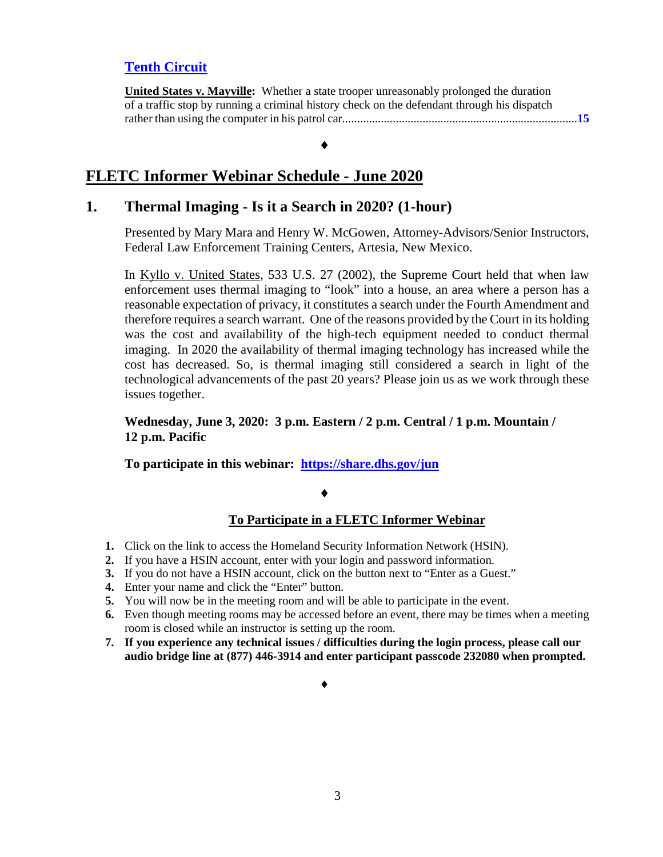# **[Tenth Circuit](#page-14-0)**

**United States v. Mayville:** Whether a state trooper unreasonably prolonged the duration of a traffic stop by running a criminal history check on the defendant through his dispatch rather than using the computer in his patrol car...............................................................................**[15](#page-14-1)**

#### ♦

# **FLETC Informer Webinar Schedule - June 2020**

## **1. Thermal Imaging - Is it a Search in 2020? (1-hour)**

Presented by Mary Mara and Henry W. McGowen, Attorney-Advisors/Senior Instructors, Federal Law Enforcement Training Centers, Artesia, New Mexico.

In Kyllo v. United States, 533 U.S. 27 (2002), the Supreme Court held that when law enforcement uses thermal imaging to "look" into a house, an area where a person has a reasonable expectation of privacy, it constitutes a search under the Fourth Amendment and therefore requires a search warrant. One of the reasons provided by the Court in its holding was the cost and availability of the high-tech equipment needed to conduct thermal imaging. In 2020 the availability of thermal imaging technology has increased while the cost has decreased. So, is thermal imaging still considered a search in light of the technological advancements of the past 20 years? Please join us as we work through these issues together.

### **Wednesday, June 3, 2020: 3 p.m. Eastern / 2 p.m. Central / 1 p.m. Mountain / 12 p.m. Pacific**

**To participate in this webinar: <https://share.dhs.gov/jun>**

#### ♦

### **To Participate in a FLETC Informer Webinar**

- **1.** Click on the link to access the Homeland Security Information Network (HSIN).
- **2.** If you have a HSIN account, enter with your login and password information.
- **3.** If you do not have a HSIN account, click on the button next to "Enter as a Guest."
- **4.** Enter your name and click the "Enter" button.
- **5.** You will now be in the meeting room and will be able to participate in the event.
- **6.** Even though meeting rooms may be accessed before an event, there may be times when a meeting room is closed while an instructor is setting up the room.
- **7. If you experience any technical issues / difficulties during the login process, please call our audio bridge line at (877) 446-3914 and enter participant passcode 232080 when prompted.**

#### ♦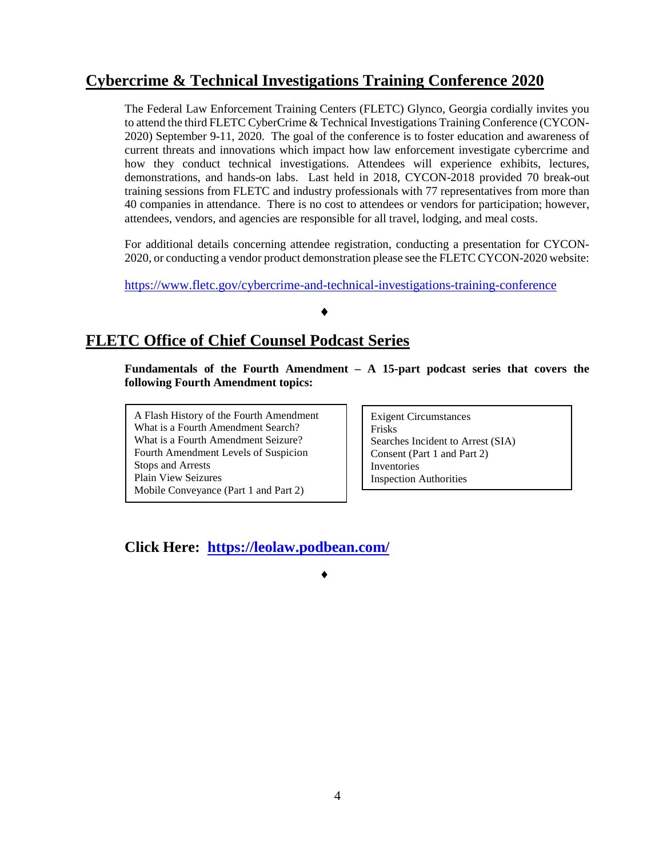# **Cybercrime & Technical Investigations Training Conference 2020**

The Federal Law Enforcement Training Centers (FLETC) Glynco, Georgia cordially invites you to attend the third FLETC CyberCrime & Technical Investigations Training Conference (CYCON-2020) September 9-11, 2020. The goal of the conference is to foster education and awareness of current threats and innovations which impact how law enforcement investigate cybercrime and how they conduct technical investigations. Attendees will experience exhibits, lectures, demonstrations, and hands-on labs. Last held in 2018, CYCON-2018 provided 70 break-out training sessions from FLETC and industry professionals with 77 representatives from more than 40 companies in attendance. There is no cost to attendees or vendors for participation; however, attendees, vendors, and agencies are responsible for all travel, lodging, and meal costs.

For additional details concerning attendee registration, conducting a presentation for CYCON-2020, or conducting a vendor product demonstration please see the FLETC CYCON-2020 website:

<https://www.fletc.gov/cybercrime-and-technical-investigations-training-conference>

#### ♦

♦

# **FLETC Office of Chief Counsel Podcast Series**

**Fundamentals of the Fourth Amendment – A 15-part podcast series that covers the following Fourth Amendment topics:** 

A Flash History of the Fourth Amendment What is a Fourth Amendment Search? What is a Fourth Amendment Seizure? Fourth Amendment Levels of Suspicion Stops and Arrests Plain View Seizures Mobile Conveyance (Part 1 and Part 2)

Exigent Circumstances Frisks Searches Incident to Arrest (SIA) Consent (Part 1 and Part 2) Inventories Inspection Authorities

**Click Here: <https://leolaw.podbean.com/>**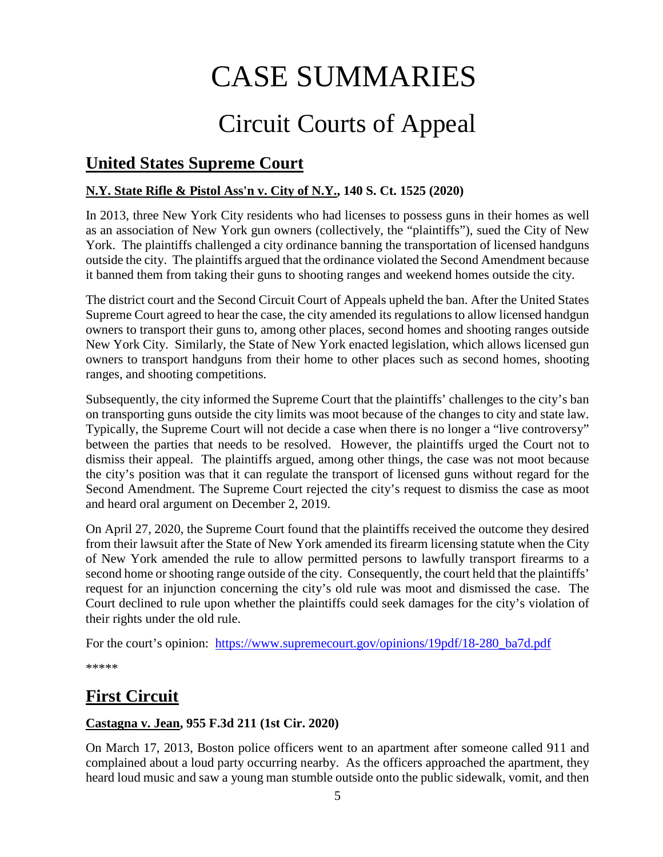# CASE SUMMARIES

# Circuit Courts of Appeal

# <span id="page-4-1"></span>**United States Supreme Court**

# <span id="page-4-0"></span>**N.Y. State Rifle & Pistol Ass'n v. City of N.Y., 140 S. Ct. 1525 (2020)**

In 2013, three New York City residents who had licenses to possess guns in their homes as well as an association of New York gun owners (collectively, the "plaintiffs"), sued the City of New York. The plaintiffs challenged a city ordinance banning the transportation of licensed handguns outside the city. The plaintiffs argued that the ordinance violated the Second Amendment because it banned them from taking their guns to shooting ranges and weekend homes outside the city.

The district court and the Second Circuit Court of Appeals upheld the ban. After the United States Supreme Court agreed to hear the case, the city amended its regulations to allow licensed handgun owners to transport their guns to, among other places, second homes and shooting ranges outside New York City. Similarly, the State of New York enacted legislation, which allows licensed gun owners to transport handguns from their home to other places such as second homes, shooting ranges, and shooting competitions.

Subsequently, the city informed the Supreme Court that the plaintiffs' challenges to the city's ban on transporting guns outside the city limits was moot because of the changes to city and state law. Typically, the Supreme Court will not decide a case when there is no longer a "live controversy" between the parties that needs to be resolved. However, the plaintiffs urged the Court not to dismiss their appeal. The plaintiffs argued, among other things, the case was not moot because the city's position was that it can regulate the transport of licensed guns without regard for the Second Amendment. The Supreme Court rejected the city's request to dismiss the case as moot and heard oral argument on December 2, 2019.

On April 27, 2020, the Supreme Court found that the plaintiffs received the outcome they desired from their lawsuit after the State of New York amended its firearm licensing statute when the City of New York amended the rule to allow permitted persons to lawfully transport firearms to a second home or shooting range outside of the city. Consequently, the court held that the plaintiffs' request for an injunction concerning the city's old rule was moot and dismissed the case. The Court declined to rule upon whether the plaintiffs could seek damages for the city's violation of their rights under the old rule.

For the court's opinion: [https://www.supremecourt.gov/opinions/19pdf/18-280\\_ba7d.pdf](https://www.supremecourt.gov/opinions/19pdf/18-280_ba7d.pdf)

\*\*\*\*\*

# <span id="page-4-2"></span>**First Circuit**

# <span id="page-4-3"></span>**Castagna v. Jean, 955 F.3d 211 (1st Cir. 2020)**

On March 17, 2013, Boston police officers went to an apartment after someone called 911 and complained about a loud party occurring nearby. As the officers approached the apartment, they heard loud music and saw a young man stumble outside onto the public sidewalk, vomit, and then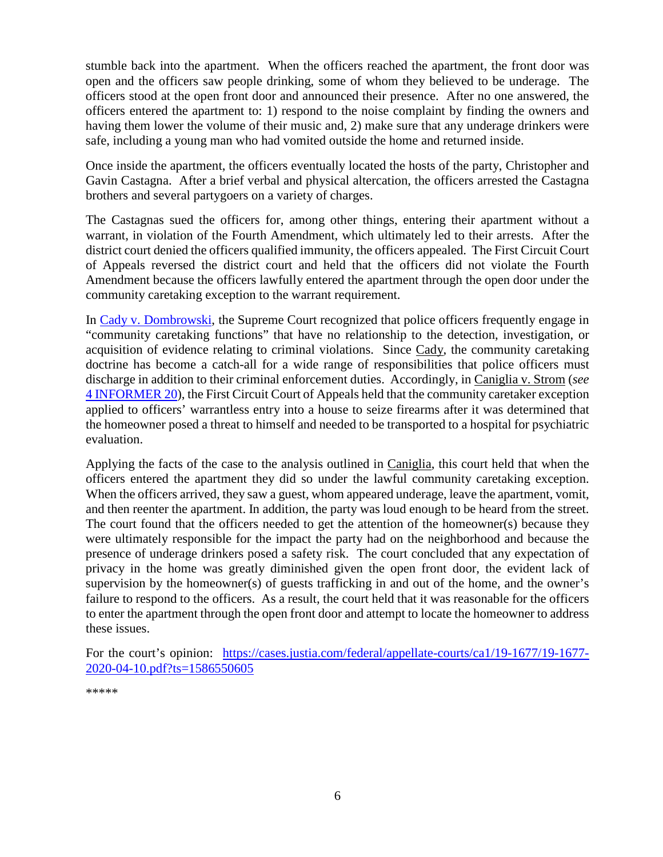stumble back into the apartment. When the officers reached the apartment, the front door was open and the officers saw people drinking, some of whom they believed to be underage. The officers stood at the open front door and announced their presence. After no one answered, the officers entered the apartment to: 1) respond to the noise complaint by finding the owners and having them lower the volume of their music and, 2) make sure that any underage drinkers were safe, including a young man who had vomited outside the home and returned inside.

Once inside the apartment, the officers eventually located the hosts of the party, Christopher and Gavin Castagna. After a brief verbal and physical altercation, the officers arrested the Castagna brothers and several partygoers on a variety of charges.

The Castagnas sued the officers for, among other things, entering their apartment without a warrant, in violation of the Fourth Amendment, which ultimately led to their arrests. After the district court denied the officers qualified immunity, the officers appealed. The First Circuit Court of Appeals reversed the district court and held that the officers did not violate the Fourth Amendment because the officers lawfully entered the apartment through the open door under the community caretaking exception to the warrant requirement.

In [Cady v. Dombrowski,](https://supreme.justia.com/cases/federal/us/413/433/) the Supreme Court recognized that police officers frequently engage in "community caretaking functions" that have no relationship to the detection, investigation, or acquisition of evidence relating to criminal violations. Since Cady, the community caretaking doctrine has become a catch-all for a wide range of responsibilities that police officers must discharge in addition to their criminal enforcement duties. Accordingly, in Caniglia v. Strom (*see* [4 INFORMER 20\)](https://www.fletc.gov/sites/default/files/4informer20_-_cs.pdf), the First Circuit Court of Appeals held that the community caretaker exception applied to officers' warrantless entry into a house to seize firearms after it was determined that the homeowner posed a threat to himself and needed to be transported to a hospital for psychiatric evaluation.

Applying the facts of the case to the analysis outlined in Caniglia, this court held that when the officers entered the apartment they did so under the lawful community caretaking exception. When the officers arrived, they saw a guest, whom appeared underage, leave the apartment, vomit, and then reenter the apartment. In addition, the party was loud enough to be heard from the street. The court found that the officers needed to get the attention of the homeowner(s) because they were ultimately responsible for the impact the party had on the neighborhood and because the presence of underage drinkers posed a safety risk. The court concluded that any expectation of privacy in the home was greatly diminished given the open front door, the evident lack of supervision by the homeowner(s) of guests trafficking in and out of the home, and the owner's failure to respond to the officers. As a result, the court held that it was reasonable for the officers to enter the apartment through the open front door and attempt to locate the homeowner to address these issues.

For the court's opinion: [https://cases.justia.com/federal/appellate-courts/ca1/19-1677/19-1677-](https://cases.justia.com/federal/appellate-courts/ca1/19-1677/19-1677-2020-04-10.pdf?ts=1586550605) [2020-04-10.pdf?ts=1586550605](https://cases.justia.com/federal/appellate-courts/ca1/19-1677/19-1677-2020-04-10.pdf?ts=1586550605)

\*\*\*\*\*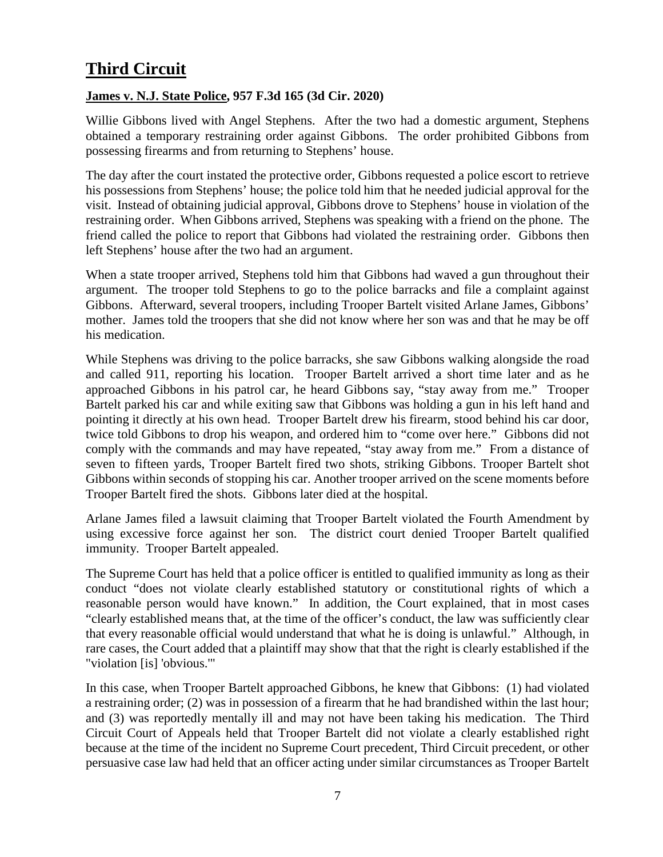# <span id="page-6-0"></span>**Third Circuit**

### <span id="page-6-1"></span>**James v. N.J. State Police, 957 F.3d 165 (3d Cir. 2020)**

Willie Gibbons lived with Angel Stephens. After the two had a domestic argument, Stephens obtained a temporary restraining order against Gibbons. The order prohibited Gibbons from possessing firearms and from returning to Stephens' house.

The day after the court instated the protective order, Gibbons requested a police escort to retrieve his possessions from Stephens' house; the police told him that he needed judicial approval for the visit. Instead of obtaining judicial approval, Gibbons drove to Stephens' house in violation of the restraining order. When Gibbons arrived, Stephens was speaking with a friend on the phone. The friend called the police to report that Gibbons had violated the restraining order. Gibbons then left Stephens' house after the two had an argument.

When a state trooper arrived, Stephens told him that Gibbons had waved a gun throughout their argument. The trooper told Stephens to go to the police barracks and file a complaint against Gibbons. Afterward, several troopers, including Trooper Bartelt visited Arlane James, Gibbons' mother. James told the troopers that she did not know where her son was and that he may be off his medication.

While Stephens was driving to the police barracks, she saw Gibbons walking alongside the road and called 911, reporting his location. Trooper Bartelt arrived a short time later and as he approached Gibbons in his patrol car, he heard Gibbons say, "stay away from me." Trooper Bartelt parked his car and while exiting saw that Gibbons was holding a gun in his left hand and pointing it directly at his own head. Trooper Bartelt drew his firearm, stood behind his car door, twice told Gibbons to drop his weapon, and ordered him to "come over here." Gibbons did not comply with the commands and may have repeated, "stay away from me." From a distance of seven to fifteen yards, Trooper Bartelt fired two shots, striking Gibbons. Trooper Bartelt shot Gibbons within seconds of stopping his car. Another trooper arrived on the scene moments before Trooper Bartelt fired the shots. Gibbons later died at the hospital.

Arlane James filed a lawsuit claiming that Trooper Bartelt violated the Fourth Amendment by using excessive force against her son. The district court denied Trooper Bartelt qualified immunity. Trooper Bartelt appealed.

The Supreme Court has held that a police officer is entitled to qualified immunity as long as their conduct "does not violate clearly established statutory or constitutional rights of which a reasonable person would have known." In addition, the Court explained, that in most cases "clearly established means that, at the time of the officer's conduct, the law was sufficiently clear that every reasonable official would understand that what he is doing is unlawful." Although, in rare cases, the Court added that a plaintiff may show that that the right is clearly established if the "violation [is] 'obvious.'"

In this case, when Trooper Bartelt approached Gibbons, he knew that Gibbons: (1) had violated a restraining order; (2) was in possession of a firearm that he had brandished within the last hour; and (3) was reportedly mentally ill and may not have been taking his medication. The Third Circuit Court of Appeals held that Trooper Bartelt did not violate a clearly established right because at the time of the incident no Supreme Court precedent, Third Circuit precedent, or other persuasive case law had held that an officer acting under similar circumstances as Trooper Bartelt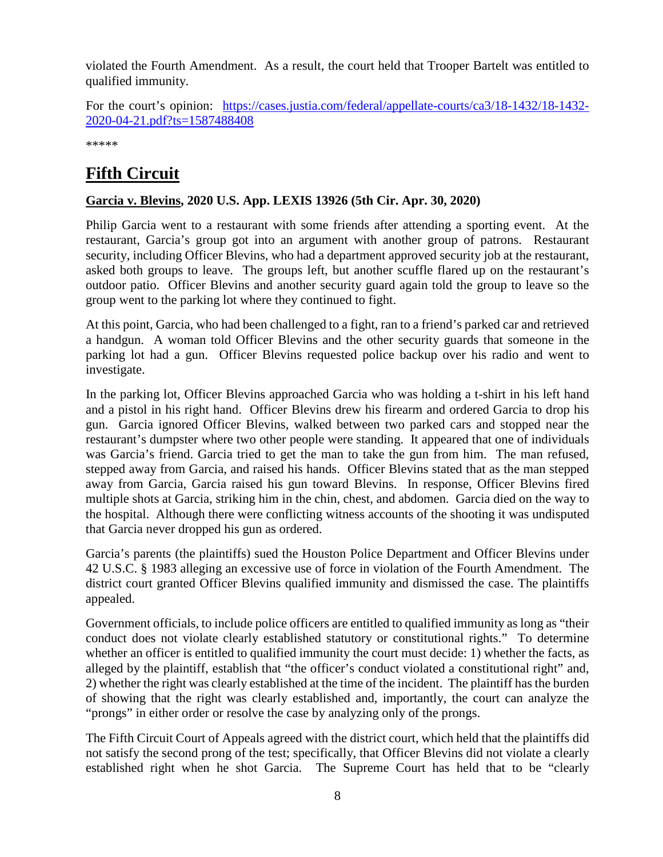violated the Fourth Amendment. As a result, the court held that Trooper Bartelt was entitled to qualified immunity.

For the court's opinion: [https://cases.justia.com/federal/appellate-courts/ca3/18-1432/18-1432-](https://cases.justia.com/federal/appellate-courts/ca3/18-1432/18-1432-2020-04-21.pdf?ts=1587488408) [2020-04-21.pdf?ts=1587488408](https://cases.justia.com/federal/appellate-courts/ca3/18-1432/18-1432-2020-04-21.pdf?ts=1587488408)

\*\*\*\*\*

# <span id="page-7-0"></span>**Fifth Circuit**

## <span id="page-7-1"></span>**Garcia v. Blevins, 2020 U.S. App. LEXIS 13926 (5th Cir. Apr. 30, 2020)**

Philip Garcia went to a restaurant with some friends after attending a sporting event. At the restaurant, Garcia's group got into an argument with another group of patrons. Restaurant security, including Officer Blevins, who had a department approved security job at the restaurant, asked both groups to leave. The groups left, but another scuffle flared up on the restaurant's outdoor patio. Officer Blevins and another security guard again told the group to leave so the group went to the parking lot where they continued to fight.

At this point, Garcia, who had been challenged to a fight, ran to a friend's parked car and retrieved a handgun. A woman told Officer Blevins and the other security guards that someone in the parking lot had a gun. Officer Blevins requested police backup over his radio and went to investigate.

In the parking lot, Officer Blevins approached Garcia who was holding a t-shirt in his left hand and a pistol in his right hand. Officer Blevins drew his firearm and ordered Garcia to drop his gun. Garcia ignored Officer Blevins, walked between two parked cars and stopped near the restaurant's dumpster where two other people were standing. It appeared that one of individuals was Garcia's friend. Garcia tried to get the man to take the gun from him. The man refused, stepped away from Garcia, and raised his hands. Officer Blevins stated that as the man stepped away from Garcia, Garcia raised his gun toward Blevins. In response, Officer Blevins fired multiple shots at Garcia, striking him in the chin, chest, and abdomen. Garcia died on the way to the hospital. Although there were conflicting witness accounts of the shooting it was undisputed that Garcia never dropped his gun as ordered.

Garcia's parents (the plaintiffs) sued the Houston Police Department and Officer Blevins under 42 U.S.C. § 1983 alleging an excessive use of force in violation of the Fourth Amendment. The district court granted Officer Blevins qualified immunity and dismissed the case. The plaintiffs appealed.

Government officials, to include police officers are entitled to qualified immunity as long as "their conduct does not violate clearly established statutory or constitutional rights." To determine whether an officer is entitled to qualified immunity the court must decide: 1) whether the facts, as alleged by the plaintiff, establish that "the officer's conduct violated a constitutional right" and, 2) whether the right was clearly established at the time of the incident. The plaintiff has the burden of showing that the right was clearly established and, importantly, the court can analyze the "prongs" in either order or resolve the case by analyzing only of the prongs.

The Fifth Circuit Court of Appeals agreed with the district court, which held that the plaintiffs did not satisfy the second prong of the test; specifically, that Officer Blevins did not violate a clearly established right when he shot Garcia. The Supreme Court has held that to be "clearly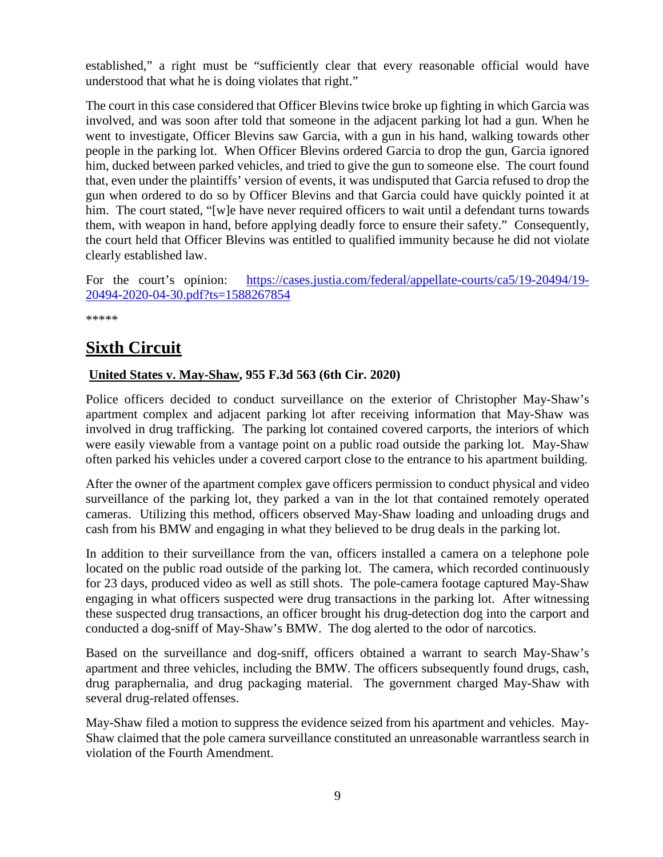established," a right must be "sufficiently clear that every reasonable official would have understood that what he is doing violates that right."

The court in this case considered that Officer Blevins twice broke up fighting in which Garcia was involved, and was soon after told that someone in the adjacent parking lot had a gun. When he went to investigate, Officer Blevins saw Garcia, with a gun in his hand, walking towards other people in the parking lot. When Officer Blevins ordered Garcia to drop the gun, Garcia ignored him, ducked between parked vehicles, and tried to give the gun to someone else. The court found that, even under the plaintiffs' version of events, it was undisputed that Garcia refused to drop the gun when ordered to do so by Officer Blevins and that Garcia could have quickly pointed it at him. The court stated, "[w]e have never required officers to wait until a defendant turns towards them, with weapon in hand, before applying deadly force to ensure their safety." Consequently, the court held that Officer Blevins was entitled to qualified immunity because he did not violate clearly established law.

For the court's opinion: [https://cases.justia.com/federal/appellate-courts/ca5/19-20494/19-](https://cases.justia.com/federal/appellate-courts/ca5/19-20494/19-20494-2020-04-30.pdf?ts=1588267854) [20494-2020-04-30.pdf?ts=1588267854](https://cases.justia.com/federal/appellate-courts/ca5/19-20494/19-20494-2020-04-30.pdf?ts=1588267854)

\*\*\*\*\*

# <span id="page-8-0"></span>**Sixth Circuit**

### <span id="page-8-1"></span>**United States v. May-Shaw, 955 F.3d 563 (6th Cir. 2020)**

Police officers decided to conduct surveillance on the exterior of Christopher May-Shaw's apartment complex and adjacent parking lot after receiving information that May-Shaw was involved in drug trafficking. The parking lot contained covered carports, the interiors of which were easily viewable from a vantage point on a public road outside the parking lot. May-Shaw often parked his vehicles under a covered carport close to the entrance to his apartment building.

After the owner of the apartment complex gave officers permission to conduct physical and video surveillance of the parking lot, they parked a van in the lot that contained remotely operated cameras. Utilizing this method, officers observed May-Shaw loading and unloading drugs and cash from his BMW and engaging in what they believed to be drug deals in the parking lot.

In addition to their surveillance from the van, officers installed a camera on a telephone pole located on the public road outside of the parking lot. The camera, which recorded continuously for 23 days, produced video as well as still shots. The pole-camera footage captured May-Shaw engaging in what officers suspected were drug transactions in the parking lot. After witnessing these suspected drug transactions, an officer brought his drug-detection dog into the carport and conducted a dog-sniff of May-Shaw's BMW. The dog alerted to the odor of narcotics.

Based on the surveillance and dog-sniff, officers obtained a warrant to search May-Shaw's apartment and three vehicles, including the BMW. The officers subsequently found drugs, cash, drug paraphernalia, and drug packaging material. The government charged May-Shaw with several drug-related offenses.

May-Shaw filed a motion to suppress the evidence seized from his apartment and vehicles. May-Shaw claimed that the pole camera surveillance constituted an unreasonable warrantless search in violation of the Fourth Amendment.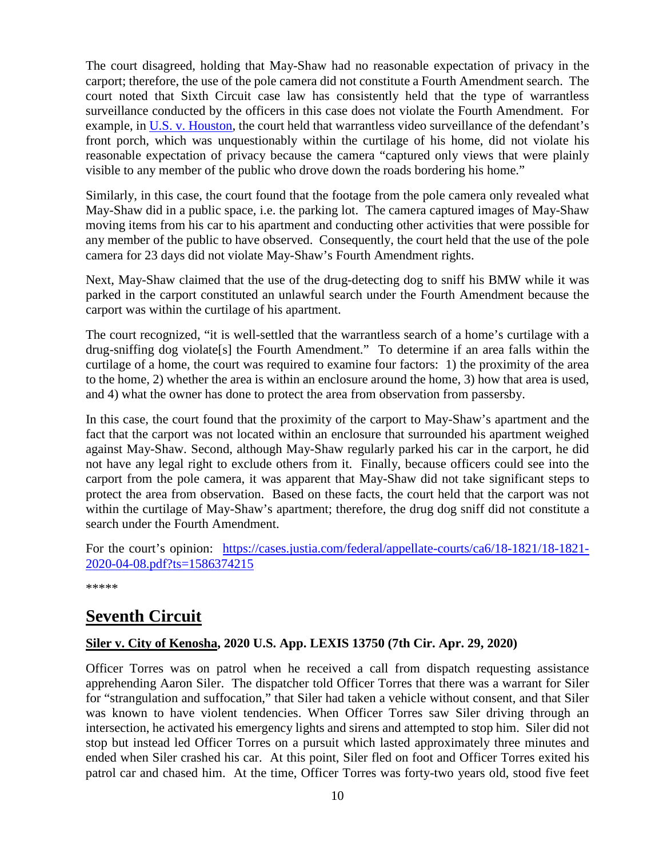The court disagreed, holding that May-Shaw had no reasonable expectation of privacy in the carport; therefore, the use of the pole camera did not constitute a Fourth Amendment search. The court noted that Sixth Circuit case law has consistently held that the type of warrantless surveillance conducted by the officers in this case does not violate the Fourth Amendment. For example, in [U.S. v. Houston,](https://cases.justia.com/federal/appellate-courts/ca6/14-5800/14-5800-2016-02-08.pdf?ts=1454954476) the court held that warrantless video surveillance of the defendant's front porch, which was unquestionably within the curtilage of his home, did not violate his reasonable expectation of privacy because the camera "captured only views that were plainly visible to any member of the public who drove down the roads bordering his home."

Similarly, in this case, the court found that the footage from the pole camera only revealed what May-Shaw did in a public space, i.e. the parking lot. The camera captured images of May-Shaw moving items from his car to his apartment and conducting other activities that were possible for any member of the public to have observed. Consequently, the court held that the use of the pole camera for 23 days did not violate May-Shaw's Fourth Amendment rights.

Next, May-Shaw claimed that the use of the drug-detecting dog to sniff his BMW while it was parked in the carport constituted an unlawful search under the Fourth Amendment because the carport was within the curtilage of his apartment.

The court recognized, "it is well-settled that the warrantless search of a home's curtilage with a drug-sniffing dog violate[s] the Fourth Amendment." To determine if an area falls within the curtilage of a home, the court was required to examine four factors: 1) the proximity of the area to the home, 2) whether the area is within an enclosure around the home, 3) how that area is used, and 4) what the owner has done to protect the area from observation from passersby.

In this case, the court found that the proximity of the carport to May-Shaw's apartment and the fact that the carport was not located within an enclosure that surrounded his apartment weighed against May-Shaw. Second, although May-Shaw regularly parked his car in the carport, he did not have any legal right to exclude others from it. Finally, because officers could see into the carport from the pole camera, it was apparent that May-Shaw did not take significant steps to protect the area from observation. Based on these facts, the court held that the carport was not within the curtilage of May-Shaw's apartment; therefore, the drug dog sniff did not constitute a search under the Fourth Amendment.

For the court's opinion: [https://cases.justia.com/federal/appellate-courts/ca6/18-1821/18-1821-](https://cases.justia.com/federal/appellate-courts/ca6/18-1821/18-1821-2020-04-08.pdf?ts=1586374215) [2020-04-08.pdf?ts=1586374215](https://cases.justia.com/federal/appellate-courts/ca6/18-1821/18-1821-2020-04-08.pdf?ts=1586374215)

\*\*\*\*\*

# <span id="page-9-0"></span>**Seventh Circuit**

#### <span id="page-9-1"></span>**Siler v. City of Kenosha, 2020 U.S. App. LEXIS 13750 (7th Cir. Apr. 29, 2020)**

Officer Torres was on patrol when he received a call from dispatch requesting assistance apprehending Aaron Siler. The dispatcher told Officer Torres that there was a warrant for Siler for "strangulation and suffocation," that Siler had taken a vehicle without consent, and that Siler was known to have violent tendencies. When Officer Torres saw Siler driving through an intersection, he activated his emergency lights and sirens and attempted to stop him. Siler did not stop but instead led Officer Torres on a pursuit which lasted approximately three minutes and ended when Siler crashed his car. At this point, Siler fled on foot and Officer Torres exited his patrol car and chased him. At the time, Officer Torres was forty-two years old, stood five feet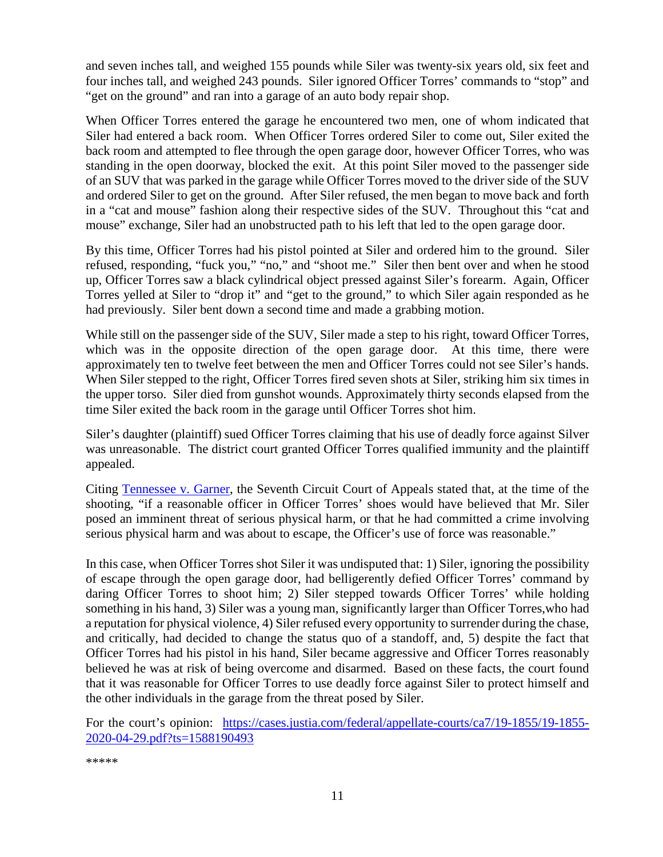and seven inches tall, and weighed 155 pounds while Siler was twenty-six years old, six feet and four inches tall, and weighed 243 pounds. Siler ignored Officer Torres' commands to "stop" and "get on the ground" and ran into a garage of an auto body repair shop.

When Officer Torres entered the garage he encountered two men, one of whom indicated that Siler had entered a back room. When Officer Torres ordered Siler to come out, Siler exited the back room and attempted to flee through the open garage door, however Officer Torres, who was standing in the open doorway, blocked the exit. At this point Siler moved to the passenger side of an SUV that was parked in the garage while Officer Torres moved to the driver side of the SUV and ordered Siler to get on the ground. After Siler refused, the men began to move back and forth in a "cat and mouse" fashion along their respective sides of the SUV. Throughout this "cat and mouse" exchange, Siler had an unobstructed path to his left that led to the open garage door.

By this time, Officer Torres had his pistol pointed at Siler and ordered him to the ground. Siler refused, responding, "fuck you," "no," and "shoot me." Siler then bent over and when he stood up, Officer Torres saw a black cylindrical object pressed against Siler's forearm. Again, Officer Torres yelled at Siler to "drop it" and "get to the ground," to which Siler again responded as he had previously. Siler bent down a second time and made a grabbing motion.

While still on the passenger side of the SUV, Siler made a step to his right, toward Officer Torres, which was in the opposite direction of the open garage door. At this time, there were approximately ten to twelve feet between the men and Officer Torres could not see Siler's hands. When Siler stepped to the right, Officer Torres fired seven shots at Siler, striking him six times in the upper torso. Siler died from gunshot wounds. Approximately thirty seconds elapsed from the time Siler exited the back room in the garage until Officer Torres shot him.

Siler's daughter (plaintiff) sued Officer Torres claiming that his use of deadly force against Silver was unreasonable. The district court granted Officer Torres qualified immunity and the plaintiff appealed.

Citing [Tennessee v. Garner,](https://supreme.justia.com/cases/federal/us/471/1/) the Seventh Circuit Court of Appeals stated that, at the time of the shooting, "if a reasonable officer in Officer Torres' shoes would have believed that Mr. Siler posed an imminent threat of serious physical harm, or that he had committed a crime involving serious physical harm and was about to escape, the Officer's use of force was reasonable."

In this case, when Officer Torres shot Siler it was undisputed that: 1) Siler, ignoring the possibility of escape through the open garage door, had belligerently defied Officer Torres' command by daring Officer Torres to shoot him; 2) Siler stepped towards Officer Torres' while holding something in his hand, 3) Siler was a young man, significantly larger than Officer Torres,who had a reputation for physical violence, 4) Siler refused every opportunity to surrender during the chase, and critically, had decided to change the status quo of a standoff, and, 5) despite the fact that Officer Torres had his pistol in his hand, Siler became aggressive and Officer Torres reasonably believed he was at risk of being overcome and disarmed. Based on these facts, the court found that it was reasonable for Officer Torres to use deadly force against Siler to protect himself and the other individuals in the garage from the threat posed by Siler.

For the court's opinion: [https://cases.justia.com/federal/appellate-courts/ca7/19-1855/19-1855-](https://cases.justia.com/federal/appellate-courts/ca7/19-1855/19-1855-2020-04-29.pdf?ts=1588190493) [2020-04-29.pdf?ts=1588190493](https://cases.justia.com/federal/appellate-courts/ca7/19-1855/19-1855-2020-04-29.pdf?ts=1588190493)

\*\*\*\*\*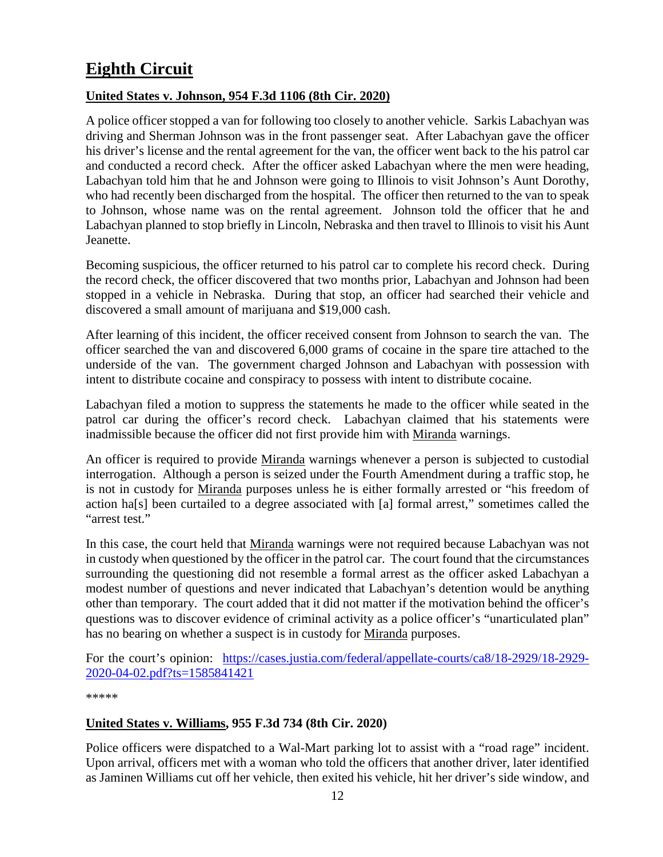# <span id="page-11-0"></span>**Eighth Circuit**

### <span id="page-11-1"></span>**United States v. Johnson, 954 F.3d 1106 (8th Cir. 2020)**

A police officer stopped a van for following too closely to another vehicle. Sarkis Labachyan was driving and Sherman Johnson was in the front passenger seat. After Labachyan gave the officer his driver's license and the rental agreement for the van, the officer went back to the his patrol car and conducted a record check. After the officer asked Labachyan where the men were heading, Labachyan told him that he and Johnson were going to Illinois to visit Johnson's Aunt Dorothy, who had recently been discharged from the hospital. The officer then returned to the van to speak to Johnson, whose name was on the rental agreement. Johnson told the officer that he and Labachyan planned to stop briefly in Lincoln, Nebraska and then travel to Illinois to visit his Aunt Jeanette.

Becoming suspicious, the officer returned to his patrol car to complete his record check. During the record check, the officer discovered that two months prior, Labachyan and Johnson had been stopped in a vehicle in Nebraska. During that stop, an officer had searched their vehicle and discovered a small amount of marijuana and \$19,000 cash.

After learning of this incident, the officer received consent from Johnson to search the van. The officer searched the van and discovered 6,000 grams of cocaine in the spare tire attached to the underside of the van. The government charged Johnson and Labachyan with possession with intent to distribute cocaine and conspiracy to possess with intent to distribute cocaine.

Labachyan filed a motion to suppress the statements he made to the officer while seated in the patrol car during the officer's record check. Labachyan claimed that his statements were inadmissible because the officer did not first provide him with Miranda warnings.

An officer is required to provide Miranda warnings whenever a person is subjected to custodial interrogation. Although a person is seized under the Fourth Amendment during a traffic stop, he is not in custody for Miranda purposes unless he is either formally arrested or "his freedom of action ha[s] been curtailed to a degree associated with [a] formal arrest," sometimes called the "arrest test."

In this case, the court held that Miranda warnings were not required because Labachyan was not in custody when questioned by the officer in the patrol car. The court found that the circumstances surrounding the questioning did not resemble a formal arrest as the officer asked Labachyan a modest number of questions and never indicated that Labachyan's detention would be anything other than temporary. The court added that it did not matter if the motivation behind the officer's questions was to discover evidence of criminal activity as a police officer's "unarticulated plan" has no bearing on whether a suspect is in custody for Miranda purposes.

For the court's opinion: [https://cases.justia.com/federal/appellate-courts/ca8/18-2929/18-2929-](https://cases.justia.com/federal/appellate-courts/ca8/18-2929/18-2929-2020-04-02.pdf?ts=1585841421) [2020-04-02.pdf?ts=1585841421](https://cases.justia.com/federal/appellate-courts/ca8/18-2929/18-2929-2020-04-02.pdf?ts=1585841421)

\*\*\*\*\*

### <span id="page-11-2"></span>**United States v. Williams, 955 F.3d 734 (8th Cir. 2020)**

Police officers were dispatched to a Wal-Mart parking lot to assist with a "road rage" incident. Upon arrival, officers met with a woman who told the officers that another driver, later identified as Jaminen Williams cut off her vehicle, then exited his vehicle, hit her driver's side window, and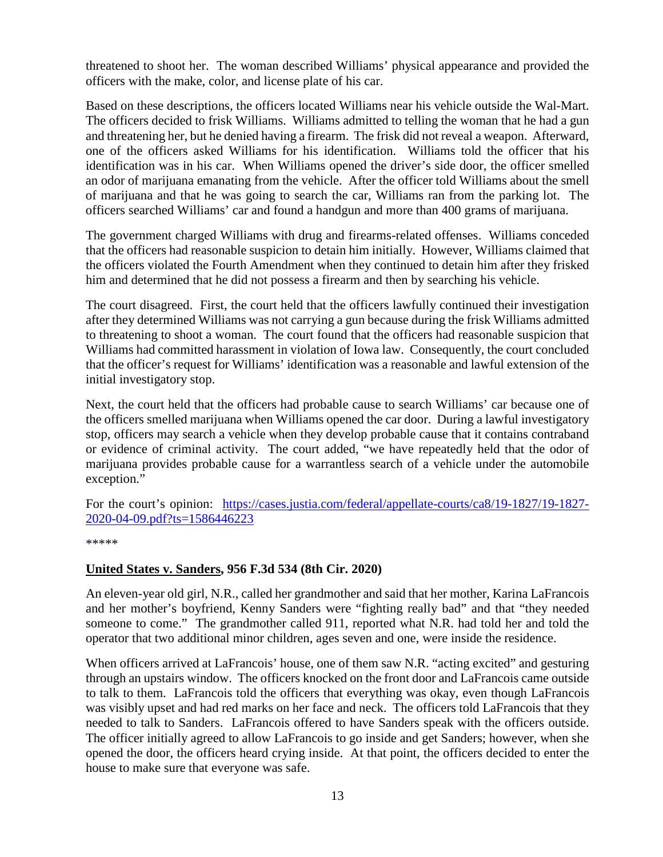threatened to shoot her. The woman described Williams' physical appearance and provided the officers with the make, color, and license plate of his car.

Based on these descriptions, the officers located Williams near his vehicle outside the Wal-Mart. The officers decided to frisk Williams. Williams admitted to telling the woman that he had a gun and threatening her, but he denied having a firearm. The frisk did not reveal a weapon. Afterward, one of the officers asked Williams for his identification. Williams told the officer that his identification was in his car. When Williams opened the driver's side door, the officer smelled an odor of marijuana emanating from the vehicle. After the officer told Williams about the smell of marijuana and that he was going to search the car, Williams ran from the parking lot. The officers searched Williams' car and found a handgun and more than 400 grams of marijuana.

The government charged Williams with drug and firearms-related offenses. Williams conceded that the officers had reasonable suspicion to detain him initially. However, Williams claimed that the officers violated the Fourth Amendment when they continued to detain him after they frisked him and determined that he did not possess a firearm and then by searching his vehicle.

The court disagreed. First, the court held that the officers lawfully continued their investigation after they determined Williams was not carrying a gun because during the frisk Williams admitted to threatening to shoot a woman. The court found that the officers had reasonable suspicion that Williams had committed harassment in violation of Iowa law. Consequently, the court concluded that the officer's request for Williams' identification was a reasonable and lawful extension of the initial investigatory stop.

Next, the court held that the officers had probable cause to search Williams' car because one of the officers smelled marijuana when Williams opened the car door. During a lawful investigatory stop, officers may search a vehicle when they develop probable cause that it contains contraband or evidence of criminal activity. The court added, "we have repeatedly held that the odor of marijuana provides probable cause for a warrantless search of a vehicle under the automobile exception."

For the court's opinion: [https://cases.justia.com/federal/appellate-courts/ca8/19-1827/19-1827-](https://cases.justia.com/federal/appellate-courts/ca8/19-1827/19-1827-2020-04-09.pdf?ts=1586446223) [2020-04-09.pdf?ts=1586446223](https://cases.justia.com/federal/appellate-courts/ca8/19-1827/19-1827-2020-04-09.pdf?ts=1586446223)

\*\*\*\*\*

#### <span id="page-12-0"></span>**United States v. Sanders, 956 F.3d 534 (8th Cir. 2020)**

An eleven-year old girl, N.R., called her grandmother and said that her mother, Karina LaFrancois and her mother's boyfriend, Kenny Sanders were "fighting really bad" and that "they needed someone to come." The grandmother called 911, reported what N.R. had told her and told the operator that two additional minor children, ages seven and one, were inside the residence.

When officers arrived at LaFrancois' house, one of them saw N.R. "acting excited" and gesturing through an upstairs window. The officers knocked on the front door and LaFrancois came outside to talk to them. LaFrancois told the officers that everything was okay, even though LaFrancois was visibly upset and had red marks on her face and neck. The officers told LaFrancois that they needed to talk to Sanders. LaFrancois offered to have Sanders speak with the officers outside. The officer initially agreed to allow LaFrancois to go inside and get Sanders; however, when she opened the door, the officers heard crying inside. At that point, the officers decided to enter the house to make sure that everyone was safe.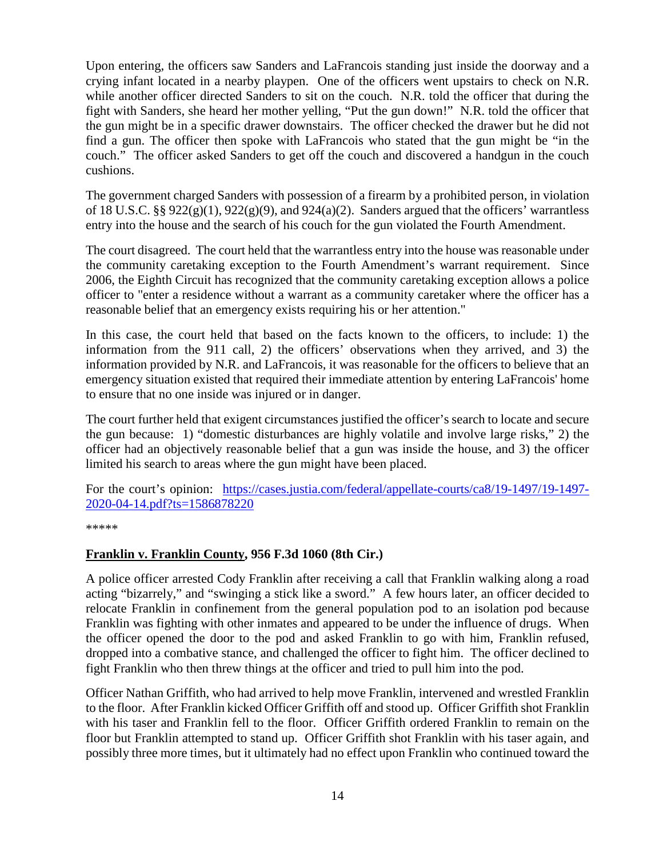Upon entering, the officers saw Sanders and LaFrancois standing just inside the doorway and a crying infant located in a nearby playpen. One of the officers went upstairs to check on N.R. while another officer directed Sanders to sit on the couch. N.R. told the officer that during the fight with Sanders, she heard her mother yelling, "Put the gun down!" N.R. told the officer that the gun might be in a specific drawer downstairs. The officer checked the drawer but he did not find a gun. The officer then spoke with LaFrancois who stated that the gun might be "in the couch." The officer asked Sanders to get off the couch and discovered a handgun in the couch cushions.

The government charged Sanders with possession of a firearm by a prohibited person, in violation of 18 U.S.C. §§  $922(g)(1)$ ,  $922(g)(9)$ , and  $924(a)(2)$ . Sanders argued that the officers' warrantless entry into the house and the search of his couch for the gun violated the Fourth Amendment.

The court disagreed. The court held that the warrantless entry into the house was reasonable under the community caretaking exception to the Fourth Amendment's warrant requirement. Since 2006, the Eighth Circuit has recognized that the community caretaking exception allows a police officer to "enter a residence without a warrant as a community caretaker where the officer has a reasonable belief that an emergency exists requiring his or her attention."

In this case, the court held that based on the facts known to the officers, to include: 1) the information from the 911 call, 2) the officers' observations when they arrived, and 3) the information provided by N.R. and LaFrancois, it was reasonable for the officers to believe that an emergency situation existed that required their immediate attention by entering LaFrancois' home to ensure that no one inside was injured or in danger.

The court further held that exigent circumstances justified the officer's search to locate and secure the gun because: 1) "domestic disturbances are highly volatile and involve large risks," 2) the officer had an objectively reasonable belief that a gun was inside the house, and 3) the officer limited his search to areas where the gun might have been placed.

For the court's opinion: [https://cases.justia.com/federal/appellate-courts/ca8/19-1497/19-1497-](https://cases.justia.com/federal/appellate-courts/ca8/19-1497/19-1497-2020-04-14.pdf?ts=1586878220) [2020-04-14.pdf?ts=1586878220](https://cases.justia.com/federal/appellate-courts/ca8/19-1497/19-1497-2020-04-14.pdf?ts=1586878220)

\*\*\*\*\*

### <span id="page-13-0"></span>**Franklin v. Franklin County, 956 F.3d 1060 (8th Cir.)**

A police officer arrested Cody Franklin after receiving a call that Franklin walking along a road acting "bizarrely," and "swinging a stick like a sword." A few hours later, an officer decided to relocate Franklin in confinement from the general population pod to an isolation pod because Franklin was fighting with other inmates and appeared to be under the influence of drugs. When the officer opened the door to the pod and asked Franklin to go with him, Franklin refused, dropped into a combative stance, and challenged the officer to fight him. The officer declined to fight Franklin who then threw things at the officer and tried to pull him into the pod.

Officer Nathan Griffith, who had arrived to help move Franklin, intervened and wrestled Franklin to the floor. After Franklin kicked Officer Griffith off and stood up. Officer Griffith shot Franklin with his taser and Franklin fell to the floor. Officer Griffith ordered Franklin to remain on the floor but Franklin attempted to stand up. Officer Griffith shot Franklin with his taser again, and possibly three more times, but it ultimately had no effect upon Franklin who continued toward the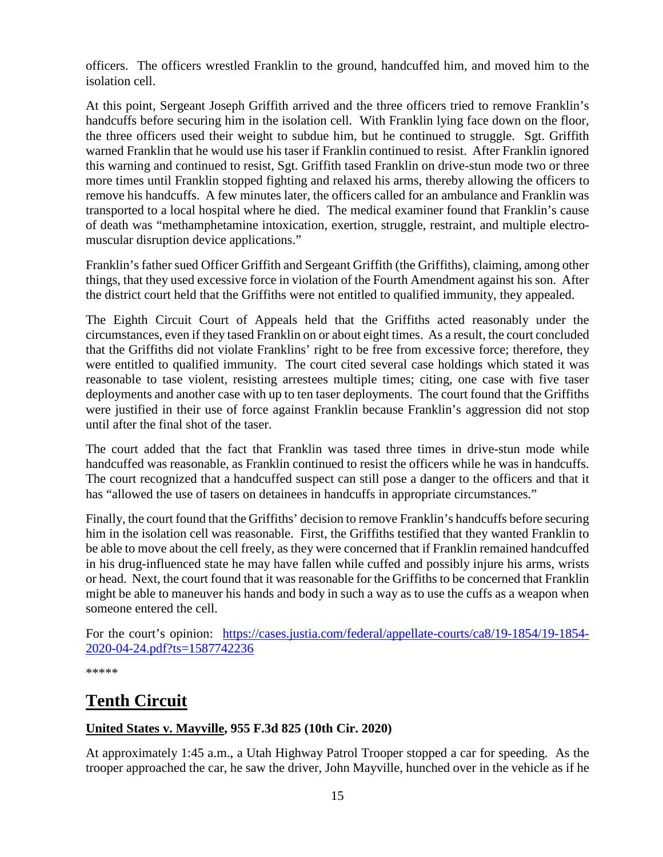officers. The officers wrestled Franklin to the ground, handcuffed him, and moved him to the isolation cell.

At this point, Sergeant Joseph Griffith arrived and the three officers tried to remove Franklin's handcuffs before securing him in the isolation cell. With Franklin lying face down on the floor, the three officers used their weight to subdue him, but he continued to struggle. Sgt. Griffith warned Franklin that he would use his taser if Franklin continued to resist. After Franklin ignored this warning and continued to resist, Sgt. Griffith tased Franklin on drive-stun mode two or three more times until Franklin stopped fighting and relaxed his arms, thereby allowing the officers to remove his handcuffs. A few minutes later, the officers called for an ambulance and Franklin was transported to a local hospital where he died. The medical examiner found that Franklin's cause of death was "methamphetamine intoxication, exertion, struggle, restraint, and multiple electromuscular disruption device applications."

Franklin's father sued Officer Griffith and Sergeant Griffith (the Griffiths), claiming, among other things, that they used excessive force in violation of the Fourth Amendment against his son. After the district court held that the Griffiths were not entitled to qualified immunity, they appealed.

The Eighth Circuit Court of Appeals held that the Griffiths acted reasonably under the circumstances, even if they tased Franklin on or about eight times. As a result, the court concluded that the Griffiths did not violate Franklins' right to be free from excessive force; therefore, they were entitled to qualified immunity. The court cited several case holdings which stated it was reasonable to tase violent, resisting arrestees multiple times; citing, one case with five taser deployments and another case with up to ten taser deployments. The court found that the Griffiths were justified in their use of force against Franklin because Franklin's aggression did not stop until after the final shot of the taser.

The court added that the fact that Franklin was tased three times in drive-stun mode while handcuffed was reasonable, as Franklin continued to resist the officers while he was in handcuffs. The court recognized that a handcuffed suspect can still pose a danger to the officers and that it has "allowed the use of tasers on detainees in handcuffs in appropriate circumstances."

Finally, the court found that the Griffiths' decision to remove Franklin's handcuffs before securing him in the isolation cell was reasonable. First, the Griffiths testified that they wanted Franklin to be able to move about the cell freely, as they were concerned that if Franklin remained handcuffed in his drug-influenced state he may have fallen while cuffed and possibly injure his arms, wrists or head. Next, the court found that it was reasonable for the Griffiths to be concerned that Franklin might be able to maneuver his hands and body in such a way as to use the cuffs as a weapon when someone entered the cell.

For the court's opinion: [https://cases.justia.com/federal/appellate-courts/ca8/19-1854/19-1854-](https://cases.justia.com/federal/appellate-courts/ca8/19-1854/19-1854-2020-04-24.pdf?ts=1587742236) [2020-04-24.pdf?ts=1587742236](https://cases.justia.com/federal/appellate-courts/ca8/19-1854/19-1854-2020-04-24.pdf?ts=1587742236)

\*\*\*\*\*

# <span id="page-14-0"></span>**Tenth Circuit**

### <span id="page-14-1"></span>**United States v. Mayville, 955 F.3d 825 (10th Cir. 2020)**

At approximately 1:45 a.m., a Utah Highway Patrol Trooper stopped a car for speeding. As the trooper approached the car, he saw the driver, John Mayville, hunched over in the vehicle as if he